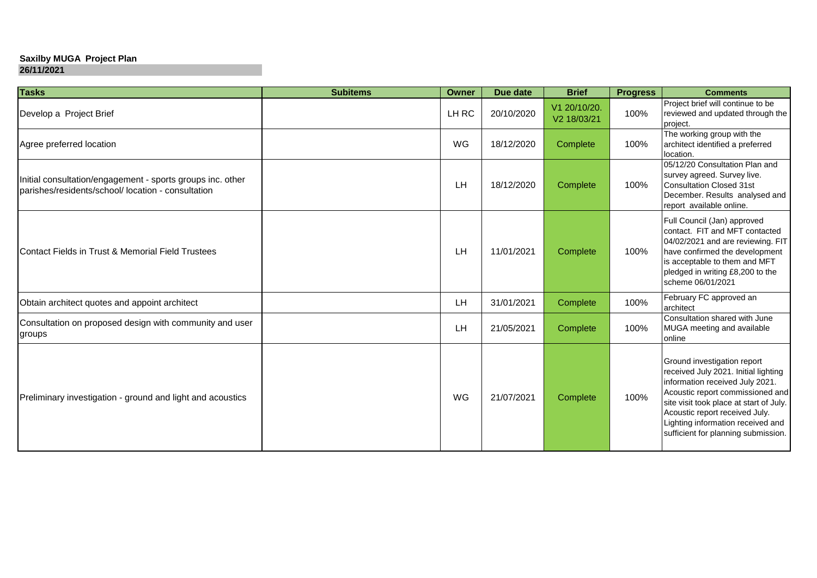## **Saxilby MUGA Project Plan**

| <b>Tasks</b>                                                                                                     | <b>Subitems</b> | Owner | Due date   | <b>Brief</b>                | <b>Progress</b> | <b>Comments</b>                                                                                                                                                                                                                                                                                     |
|------------------------------------------------------------------------------------------------------------------|-----------------|-------|------------|-----------------------------|-----------------|-----------------------------------------------------------------------------------------------------------------------------------------------------------------------------------------------------------------------------------------------------------------------------------------------------|
| Develop a Project Brief                                                                                          |                 | LH RC | 20/10/2020 | V1 20/10/20.<br>V2 18/03/21 | 100%            | Project brief will continue to be<br>reviewed and updated through the<br>project.                                                                                                                                                                                                                   |
| Agree preferred location                                                                                         |                 | WG    | 18/12/2020 | Complete                    | 100%            | The working group with the<br>architect identified a preferred<br>location.                                                                                                                                                                                                                         |
| Initial consultation/engagement - sports groups inc. other<br>parishes/residents/school/ location - consultation |                 | LH    | 18/12/2020 | Complete                    | 100%            | 05/12/20 Consultation Plan and<br>survey agreed. Survey live.<br><b>Consultation Closed 31st</b><br>December. Results analysed and<br>report available online.                                                                                                                                      |
| Contact Fields in Trust & Memorial Field Trustees                                                                |                 | LH    | 11/01/2021 | Complete                    | 100%            | Full Council (Jan) approved<br>contact. FIT and MFT contacted<br>04/02/2021 and are reviewing. FIT<br>have confirmed the development<br>is acceptable to them and MFT<br>pledged in writing £8,200 to the<br>scheme 06/01/2021                                                                      |
| Obtain architect quotes and appoint architect                                                                    |                 | LH    | 31/01/2021 | Complete                    | 100%            | February FC approved an<br>architect                                                                                                                                                                                                                                                                |
| Consultation on proposed design with community and user<br>groups                                                |                 | LH    | 21/05/2021 | Complete                    | 100%            | Consultation shared with June<br>MUGA meeting and available<br>online                                                                                                                                                                                                                               |
| Preliminary investigation - ground and light and acoustics                                                       |                 | WG    | 21/07/2021 | Complete                    | 100%            | Ground investigation report<br>received July 2021. Initial lighting<br>information received July 2021.<br>Acoustic report commissioned and<br>site visit took place at start of July.<br>Acoustic report received July.<br>Lighting information received and<br>sufficient for planning submission. |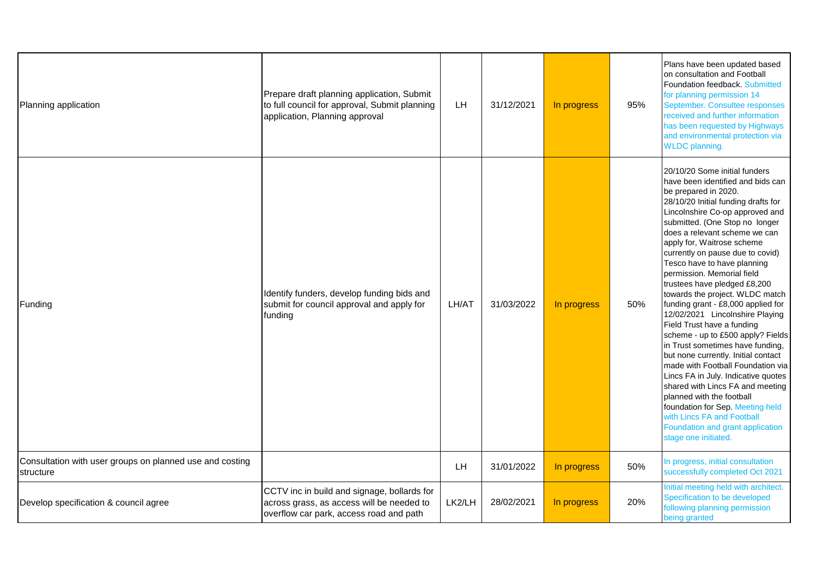| Planning application                                                  | Prepare draft planning application, Submit<br>to full council for approval, Submit planning<br>application, Planning approval       | LH     | 31/12/2021 | In progress | 95% | Plans have been updated based<br>on consultation and Football<br>Foundation feedback. Submitted<br>for planning permission 14<br>September. Consultee responses<br>received and further information<br>has been requested by Highways<br>and environmental protection via<br><b>WLDC</b> planning.                                                                                                                                                                                                                                                                                                                                                                                                                                                                                                                                                                                                                                           |
|-----------------------------------------------------------------------|-------------------------------------------------------------------------------------------------------------------------------------|--------|------------|-------------|-----|----------------------------------------------------------------------------------------------------------------------------------------------------------------------------------------------------------------------------------------------------------------------------------------------------------------------------------------------------------------------------------------------------------------------------------------------------------------------------------------------------------------------------------------------------------------------------------------------------------------------------------------------------------------------------------------------------------------------------------------------------------------------------------------------------------------------------------------------------------------------------------------------------------------------------------------------|
| Funding                                                               | Identify funders, develop funding bids and<br>submit for council approval and apply for<br>funding                                  | LH/AT  | 31/03/2022 | In progress | 50% | l20/10/20 Some initial funders<br>have been identified and bids can<br>be prepared in 2020.<br>28/10/20 Initial funding drafts for<br>Lincolnshire Co-op approved and<br>submitted. (One Stop no longer<br>does a relevant scheme we can<br>apply for, Waitrose scheme<br>currently on pause due to covid)<br>Tesco have to have planning<br>permission. Memorial field<br>trustees have pledged £8,200<br>towards the project. WLDC match<br>funding grant - £8,000 applied for<br>12/02/2021 Lincolnshire Playing<br>Field Trust have a funding<br>scheme - up to £500 apply? Fields<br>in Trust sometimes have funding,<br>but none currently. Initial contact<br>made with Football Foundation via<br>Lincs FA in July. Indicative quotes<br>shared with Lincs FA and meeting<br>planned with the football<br>foundation for Sep. Meeting held<br>with Lincs FA and Football<br>Foundation and grant application<br>stage one initiated. |
| Consultation with user groups on planned use and costing<br>structure |                                                                                                                                     | LH.    | 31/01/2022 | In progress | 50% | In progress, initial consultation<br>successfully completed Oct 2021                                                                                                                                                                                                                                                                                                                                                                                                                                                                                                                                                                                                                                                                                                                                                                                                                                                                         |
| Develop specification & council agree                                 | CCTV inc in build and signage, bollards for<br>across grass, as access will be needed to<br>overflow car park, access road and path | LK2/LH | 28/02/2021 | In progress | 20% | Initial meeting held with architect.<br>Specification to be developed<br>following planning permission<br>being granted                                                                                                                                                                                                                                                                                                                                                                                                                                                                                                                                                                                                                                                                                                                                                                                                                      |